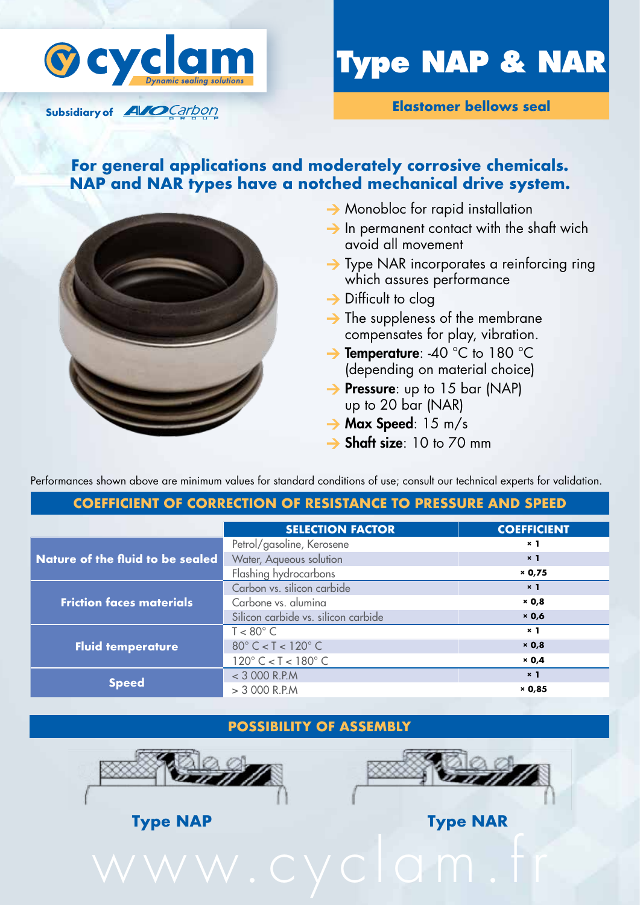

Subsidiary of **AVO** Carbon

# **Type NAP & NAR**

**Elastomer bellows seal**

## **For general applications and moderately corrosive chemicals. NAP and NAR types have a notched mechanical drive system.**



- $\rightarrow$  Monobloc for rapid installation
- $\rightarrow$  In permanent contact with the shaft wich avoid all movement
- $\rightarrow$  Type NAR incorporates a reinforcing ring which assures performance
- $\rightarrow$  Difficult to clog
- $\rightarrow$  The suppleness of the membrane compensates for play, vibration.
- → Temperature: -40 °C to 180 °C (depending on material choice)
- $\rightarrow$  Pressure: up to 15 bar (NAP) up to 20 bar (NAR)
- $\rightarrow$  Max Speed: 15 m/s
- $\rightarrow$  Shaft size: 10 to 70 mm

Performances shown above are minimum values for standard conditions of use; consult our technical experts for validation.

#### **Coefficient of correction of resistance to pressure and speed**

| Petrol/gasoline, Kerosene                                        | $\times$ 1     |
|------------------------------------------------------------------|----------------|
|                                                                  |                |
| Water, Aqueous solution<br>Nature of the fluid to be sealed      | $\times$ 1     |
| Flashing hydrocarbons                                            | × 0,75         |
| Carbon vs. silicon carbide                                       | $\times$ 1     |
| Carbone vs. alumina<br><b>Friction faces materials</b>           | $\times$ 0,8   |
| Silicon carbide vs. silicon carbide                              | $\times$ 0,6   |
| $T < 80^{\circ}$ C                                               | $\times$ 1     |
| $80^{\circ}$ C < T < $120^{\circ}$ C<br><b>Fluid temperature</b> | $\times$ 0,8   |
| $120^{\circ}$ C < T < $180^{\circ}$ C                            | $\times$ 0,4   |
| $<$ 3 000 R.P.M                                                  | x <sub>1</sub> |
| <b>Speed</b><br>$>$ 3 000 R.P.M                                  | $\times$ 0,85  |

### **Possibility of assembly**





**Type NAP Type NAR**